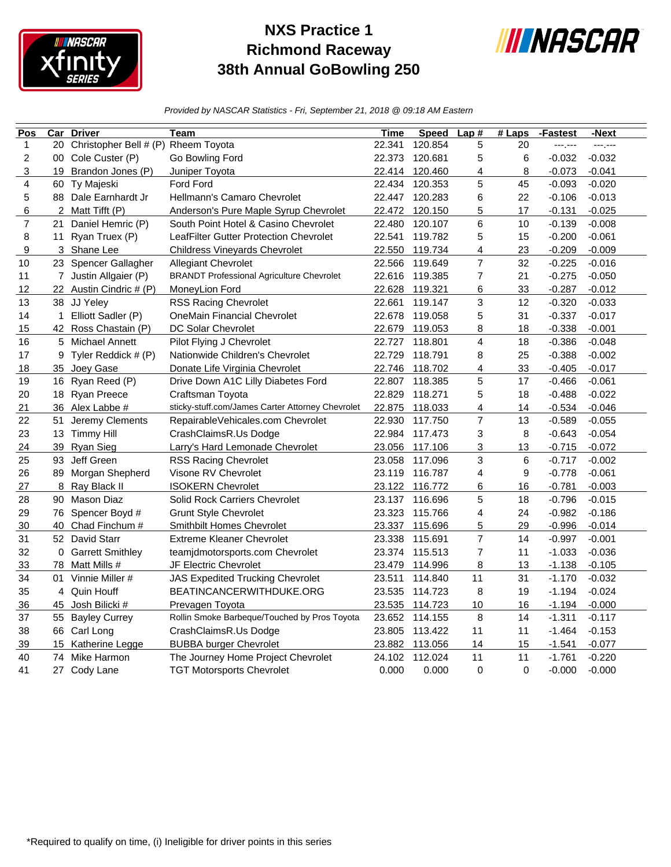

## **NXS Practice 1 Richmond Raceway 38th Annual GoBowling 250**



*Provided by NASCAR Statistics - Fri, September 21, 2018 @ 09:18 AM Eastern*

| Pos            | $\overline{\text{Car}}$ | <b>Driver</b>                       | Team                                             | Time   | <b>Speed</b>   | Lap#                    | $#$ Laps | -Fastest | -Next    |
|----------------|-------------------------|-------------------------------------|--------------------------------------------------|--------|----------------|-------------------------|----------|----------|----------|
| 1              | 20                      | Christopher Bell # (P) Rheem Toyota |                                                  | 22.341 | 120.854        | 5                       | 20       | ---.---  | ---,---  |
| $\overline{c}$ |                         | 00 Cole Custer (P)                  | Go Bowling Ford                                  | 22.373 | 120.681        | 5                       | 6        | $-0.032$ | $-0.032$ |
| 3              | 19                      | Brandon Jones (P)                   | Juniper Toyota                                   | 22.414 | 120.460        | 4                       | 8        | $-0.073$ | $-0.041$ |
| 4              |                         | 60 Ty Majeski                       | Ford Ford                                        | 22.434 | 120.353        | 5                       | 45       | $-0.093$ | $-0.020$ |
| 5              | 88                      | Dale Earnhardt Jr                   | Hellmann's Camaro Chevrolet                      | 22.447 | 120.283        | 6                       | 22       | $-0.106$ | $-0.013$ |
| 6              |                         | 2 Matt Tifft (P)                    | Anderson's Pure Maple Syrup Chevrolet            | 22.472 | 120.150        | 5                       | 17       | $-0.131$ | $-0.025$ |
| $\overline{7}$ | 21                      | Daniel Hemric (P)                   | South Point Hotel & Casino Chevrolet             | 22.480 | 120.107        | 6                       | 10       | $-0.139$ | $-0.008$ |
| 8              | 11                      | Ryan Truex (P)                      | LeafFilter Gutter Protection Chevrolet           | 22.541 | 119.782        | 5                       | 15       | $-0.200$ | $-0.061$ |
| 9              |                         | 3 Shane Lee                         | <b>Childress Vineyards Chevrolet</b>             | 22.550 | 119.734        | $\overline{\mathbf{4}}$ | 23       | $-0.209$ | $-0.009$ |
| 10             | 23                      | Spencer Gallagher                   | Allegiant Chevrolet                              | 22.566 | 119.649        | $\overline{7}$          | 32       | $-0.225$ | $-0.016$ |
| 11             |                         | 7 Justin Allgaier (P)               | <b>BRANDT Professional Agriculture Chevrolet</b> | 22.616 | 119.385        | 7                       | 21       | $-0.275$ | $-0.050$ |
| 12             |                         | 22 Austin Cindric # (P)             | MoneyLion Ford                                   | 22.628 | 119.321        | 6                       | 33       | $-0.287$ | $-0.012$ |
| 13             |                         | 38 JJ Yeley                         | <b>RSS Racing Chevrolet</b>                      | 22.661 | 119.147        | 3                       | 12       | $-0.320$ | $-0.033$ |
| 14             | $\mathbf{1}$            | Elliott Sadler (P)                  | <b>OneMain Financial Chevrolet</b>               | 22.678 | 119.058        | 5                       | 31       | $-0.337$ | $-0.017$ |
| 15             |                         | 42 Ross Chastain (P)                | DC Solar Chevrolet                               | 22.679 | 119.053        | 8                       | 18       | $-0.338$ | $-0.001$ |
| 16             | 5                       | Michael Annett                      | Pilot Flying J Chevrolet                         | 22.727 | 118.801        | 4                       | 18       | $-0.386$ | $-0.048$ |
| 17             |                         | 9 Tyler Reddick # (P)               | Nationwide Children's Chevrolet                  | 22.729 | 118.791        | 8                       | 25       | $-0.388$ | $-0.002$ |
| 18             |                         | 35 Joey Gase                        | Donate Life Virginia Chevrolet                   | 22.746 | 118.702        | $\overline{\mathbf{4}}$ | 33       | $-0.405$ | $-0.017$ |
| 19             |                         | 16 Ryan Reed (P)                    | Drive Down A1C Lilly Diabetes Ford               | 22.807 | 118.385        | 5                       | 17       | $-0.466$ | $-0.061$ |
| 20             |                         | 18 Ryan Preece                      | Craftsman Toyota                                 | 22.829 | 118.271        | 5                       | 18       | $-0.488$ | $-0.022$ |
| 21             |                         | 36 Alex Labbe #                     | sticky-stuff.com/James Carter Attorney Chevrolet | 22.875 | 118.033        | 4                       | 14       | $-0.534$ | $-0.046$ |
| 22             | 51                      | Jeremy Clements                     | RepairableVehicales.com Chevrolet                | 22.930 | 117.750        | $\overline{7}$          | 13       | $-0.589$ | $-0.055$ |
| 23             |                         | 13 Timmy Hill                       | CrashClaimsR.Us Dodge                            | 22.984 | 117.473        | 3                       | 8        | $-0.643$ | $-0.054$ |
| 24             | 39                      | <b>Ryan Sieg</b>                    | Larry's Hard Lemonade Chevrolet                  | 23.056 | 117.106        | 3                       | 13       | $-0.715$ | $-0.072$ |
| 25             | 93                      | Jeff Green                          | <b>RSS Racing Chevrolet</b>                      | 23.058 | 117.096        | 3                       | 6        | $-0.717$ | $-0.002$ |
| 26             | 89                      | Morgan Shepherd                     | Visone RV Chevrolet                              | 23.119 | 116.787        | 4                       | 9        | $-0.778$ | $-0.061$ |
| 27             |                         | 8 Ray Black II                      | <b>ISOKERN Chevrolet</b>                         |        | 23.122 116.772 | 6                       | 16       | $-0.781$ | $-0.003$ |
| 28             | 90                      | Mason Diaz                          | Solid Rock Carriers Chevrolet                    | 23.137 | 116.696        | 5                       | 18       | $-0.796$ | $-0.015$ |
| 29             | 76                      | Spencer Boyd #                      | <b>Grunt Style Chevrolet</b>                     | 23.323 | 115.766        | 4                       | 24       | $-0.982$ | $-0.186$ |
| 30             | 40                      | Chad Finchum #                      | <b>Smithbilt Homes Chevrolet</b>                 | 23.337 | 115.696        | 5                       | 29       | $-0.996$ | $-0.014$ |
| 31             |                         | 52 David Starr                      | <b>Extreme Kleaner Chevrolet</b>                 | 23.338 | 115.691        | $\overline{7}$          | 14       | $-0.997$ | $-0.001$ |
| 32             |                         | 0 Garrett Smithley                  | teamjdmotorsports.com Chevrolet                  | 23.374 | 115.513        | $\overline{7}$          | 11       | $-1.033$ | $-0.036$ |
| 33             | 78                      | Matt Mills #                        | JF Electric Chevrolet                            | 23.479 | 114.996        | 8                       | 13       | $-1.138$ | $-0.105$ |
| 34             | 01                      | Vinnie Miller #                     | <b>JAS Expedited Trucking Chevrolet</b>          | 23.511 | 114.840        | 11                      | 31       | $-1.170$ | $-0.032$ |
| 35             | 4                       | Quin Houff                          | BEATINCANCERWITHDUKE.ORG                         | 23.535 | 114.723        | 8                       | 19       | $-1.194$ | $-0.024$ |
| 36             | 45                      | Josh Bilicki #                      | Prevagen Toyota                                  | 23.535 | 114.723        | $10$                    | 16       | $-1.194$ | $-0.000$ |
| 37             |                         | 55 Bayley Currey                    | Rollin Smoke Barbeque/Touched by Pros Toyota     | 23.652 | 114.155        | 8                       | 14       | $-1.311$ | $-0.117$ |
| 38             |                         | 66 Carl Long                        | CrashClaimsR.Us Dodge                            | 23.805 | 113.422        | 11                      | 11       | $-1.464$ | $-0.153$ |
| 39             | 15                      | Katherine Legge                     | <b>BUBBA burger Chevrolet</b>                    |        | 23.882 113.056 | 14                      | 15       | $-1.541$ | $-0.077$ |
| 40             | 74                      | Mike Harmon                         | The Journey Home Project Chevrolet               | 24.102 | 112.024        | 11                      | 11       | $-1.761$ | $-0.220$ |
| 41             |                         | 27 Cody Lane                        | <b>TGT Motorsports Chevrolet</b>                 | 0.000  | 0.000          | $\pmb{0}$               | 0        | $-0.000$ | $-0.000$ |